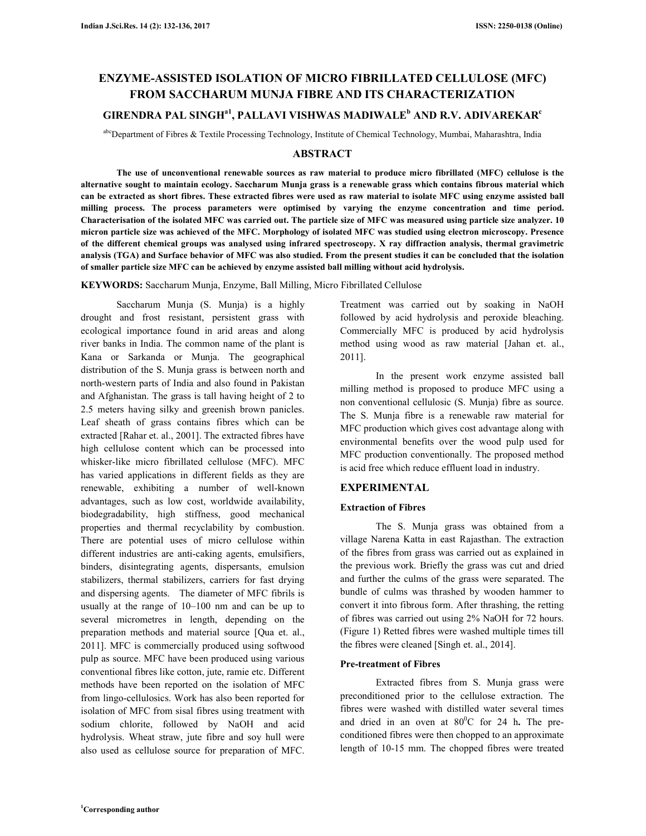# **ENZYME-ASSISTED ISOLATION OF MICRO FIBRILLATED CELLULOSE (MFC) FROM SACCHARUM MUNJA FIBRE AND ITS CHARACTERIZATION**

# **GIRENDRA PAL SINGHa1, PALLAVI VISHWAS MADIWALE<sup>b</sup> AND R.V. ADIVAREKAR<sup>c</sup>**

abcDepartment of Fibres & Textile Processing Technology, Institute of Chemical Technology, Mumbai, Maharashtra, India

# **ABSTRACT**

 **The use of unconventional renewable sources as raw material to produce micro fibrillated (MFC) cellulose is the alternative sought to maintain ecology. Saccharum Munja grass is a renewable grass which contains fibrous material which can be extracted as short fibres. These extracted fibres were used as raw material to isolate MFC using enzyme assisted ball milling process. The process parameters were optimised by varying the enzyme concentration and time period. Characterisation of the isolated MFC was carried out. The particle size of MFC was measured using particle size analyzer. 10 micron particle size was achieved of the MFC. Morphology of isolated MFC was studied using electron microscopy. Presence of the different chemical groups was analysed using infrared spectroscopy. X ray diffraction analysis, thermal gravimetric analysis (TGA) and Surface behavior of MFC was also studied. From the present studies it can be concluded that the isolation of smaller particle size MFC can be achieved by enzyme assisted ball milling without acid hydrolysis.** 

**KEYWORDS:** Saccharum Munja, Enzyme, Ball Milling, Micro Fibrillated Cellulose

 Saccharum Munja (S. Munja) is a highly drought and frost resistant, persistent grass with ecological importance found in arid areas and along river banks in India. The common name of the plant is Kana or Sarkanda or Munja. The geographical distribution of the S. Munja grass is between north and north-western parts of India and also found in Pakistan and Afghanistan. The grass is tall having height of 2 to 2.5 meters having silky and greenish brown panicles. Leaf sheath of grass contains fibres which can be extracted [Rahar et. al., 2001]. The extracted fibres have high cellulose content which can be processed into whisker-like micro fibrillated cellulose (MFC). MFC has varied applications in different fields as they are renewable, exhibiting a number of well-known advantages, such as low cost, worldwide availability, biodegradability, high stiffness, good mechanical properties and thermal recyclability by combustion. There are potential uses of micro cellulose within different industries are anti-caking agents, emulsifiers, binders, disintegrating agents, dispersants, emulsion stabilizers, thermal stabilizers, carriers for fast drying and dispersing agents. The diameter of MFC fibrils is usually at the range of 10–100 nm and can be up to several micrometres in length, depending on the preparation methods and material source [Qua et. al., 2011]. MFC is commercially produced using softwood pulp as source. MFC have been produced using various conventional fibres like cotton, jute, ramie etc. Different methods have been reported on the isolation of MFC from lingo-cellulosics. Work has also been reported for isolation of MFC from sisal fibres using treatment with sodium chlorite, followed by NaOH and acid hydrolysis. Wheat straw, jute fibre and soy hull were also used as cellulose source for preparation of MFC.

Treatment was carried out by soaking in NaOH followed by acid hydrolysis and peroxide bleaching. Commercially MFC is produced by acid hydrolysis method using wood as raw material [Jahan et. al., 2011].

 In the present work enzyme assisted ball milling method is proposed to produce MFC using a non conventional cellulosic (S. Munja) fibre as source. The S. Munja fibre is a renewable raw material for MFC production which gives cost advantage along with environmental benefits over the wood pulp used for MFC production conventionally. The proposed method is acid free which reduce effluent load in industry.

# **EXPERIMENTAL**

# **Extraction of Fibres**

 The S. Munja grass was obtained from a village Narena Katta in east Rajasthan. The extraction of the fibres from grass was carried out as explained in the previous work. Briefly the grass was cut and dried and further the culms of the grass were separated. The bundle of culms was thrashed by wooden hammer to convert it into fibrous form. After thrashing, the retting of fibres was carried out using 2% NaOH for 72 hours. (Figure 1) Retted fibres were washed multiple times till the fibres were cleaned [Singh et. al., 2014].

# **Pre-treatment of Fibres**

 Extracted fibres from S. Munja grass were preconditioned prior to the cellulose extraction. The fibres were washed with distilled water several times and dried in an oven at  $80^{\circ}$ C for 24 h. The preconditioned fibres were then chopped to an approximate length of 10-15 mm. The chopped fibres were treated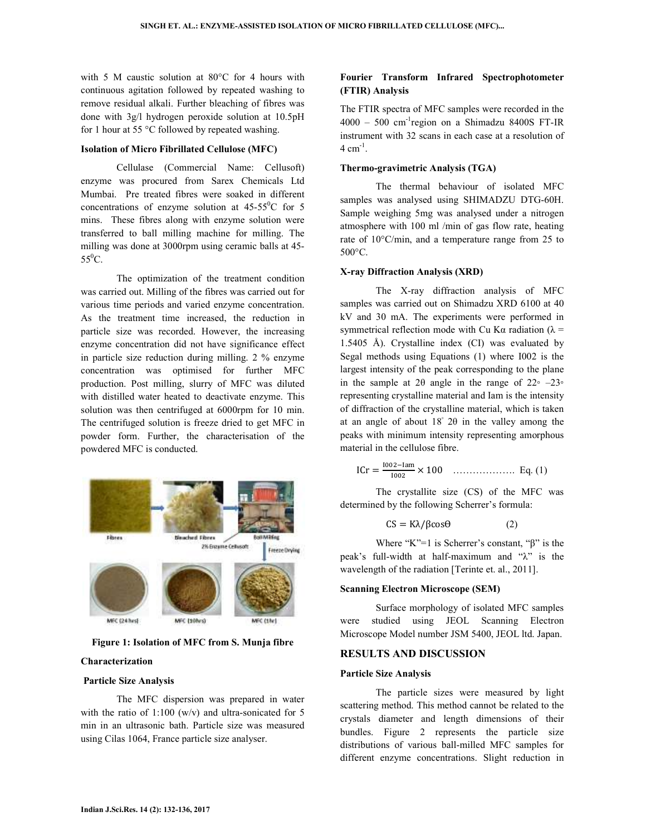with 5 M caustic solution at 80°C for 4 hours with continuous agitation followed by repeated washing to remove residual alkali. Further bleaching of fibres was done with 3g/l hydrogen peroxide solution at 10.5pH for 1 hour at 55 °C followed by repeated washing.

#### **Isolation of Micro Fibrillated Cellulose (MFC)**

 Cellulase (Commercial Name: Cellusoft) enzyme was procured from Sarex Chemicals Ltd Mumbai. Pre treated fibres were soaked in different concentrations of enzyme solution at  $45-55^{\circ}$ C for 5 mins. These fibres along with enzyme solution were transferred to ball milling machine for milling. The milling was done at 3000rpm using ceramic balls at 45-  $55^0C$ .

 The optimization of the treatment condition was carried out. Milling of the fibres was carried out for various time periods and varied enzyme concentration. As the treatment time increased, the reduction in particle size was recorded. However, the increasing enzyme concentration did not have significance effect in particle size reduction during milling. 2 % enzyme concentration was optimised for further MFC production. Post milling, slurry of MFC was diluted with distilled water heated to deactivate enzyme. This solution was then centrifuged at 6000rpm for 10 min. The centrifuged solution is freeze dried to get MFC in powder form. Further, the characterisation of the powdered MFC is conducted.



**Figure 1: Isolation of MFC from S. Munja fibre** 

#### **Characterization**

#### **Particle Size Analysis**

 The MFC dispersion was prepared in water with the ratio of  $1:100 \, (w/v)$  and ultra-sonicated for 5 min in an ultrasonic bath. Particle size was measured using Cilas 1064, France particle size analyser.

# **Fourier Transform Infrared Spectrophotometer (FTIR) Analysis**

The FTIR spectra of MFC samples were recorded in the  $4000 - 500$  cm<sup>-1</sup>region on a Shimadzu 8400S FT-IR instrument with 32 scans in each case at a resolution of  $4 \text{ cm}^{-1}$ .

# **Thermo-gravimetric Analysis (TGA)**

 The thermal behaviour of isolated MFC samples was analysed using SHIMADZU DTG-60H. Sample weighing 5mg was analysed under a nitrogen atmosphere with 100 ml /min of gas flow rate, heating rate of 10°C/min, and a temperature range from 25 to 500°C.

#### **X-ray Diffraction Analysis (XRD)**

 The X-ray diffraction analysis of MFC samples was carried out on Shimadzu XRD 6100 at 40 kV and 30 mA. The experiments were performed in symmetrical reflection mode with Cu Kα radiation ( $λ =$ 1.5405 Å). Crystalline index (CI) was evaluated by Segal methods using Equations (1) where I002 is the largest intensity of the peak corresponding to the plane in the sample at 2 $\theta$  angle in the range of 22∘ –23∘ representing crystalline material and Iam is the intensity of diffraction of the crystalline material, which is taken at an angle of about 18◦ 2θ in the valley among the peaks with minimum intensity representing amorphous material in the cellulose fibre.

$$
ICr = \frac{1002 - \text{lam}}{1002} \times 100 \quad \dots \dots \dots \dots \dots \dots \quad \text{Eq. (1)}
$$

 The crystallite size (CS) of the MFC was determined by the following Scherrer's formula:

$$
CS = K\lambda / \beta \cos \theta \tag{2}
$$

Where "K"=1 is Scherrer's constant, " $\beta$ " is the peak's full-width at half-maximum and "λ" is the wavelength of the radiation [Terinte et. al., 2011].

#### **Scanning Electron Microscope (SEM)**

 Surface morphology of isolated MFC samples were studied using JEOL Scanning Electron Microscope Model number JSM 5400, JEOL ltd. Japan.

#### **RESULTS AND DISCUSSION**

#### **Particle Size Analysis**

 The particle sizes were measured by light scattering method. This method cannot be related to the crystals diameter and length dimensions of their bundles. Figure 2 represents the particle size distributions of various ball-milled MFC samples for different enzyme concentrations. Slight reduction in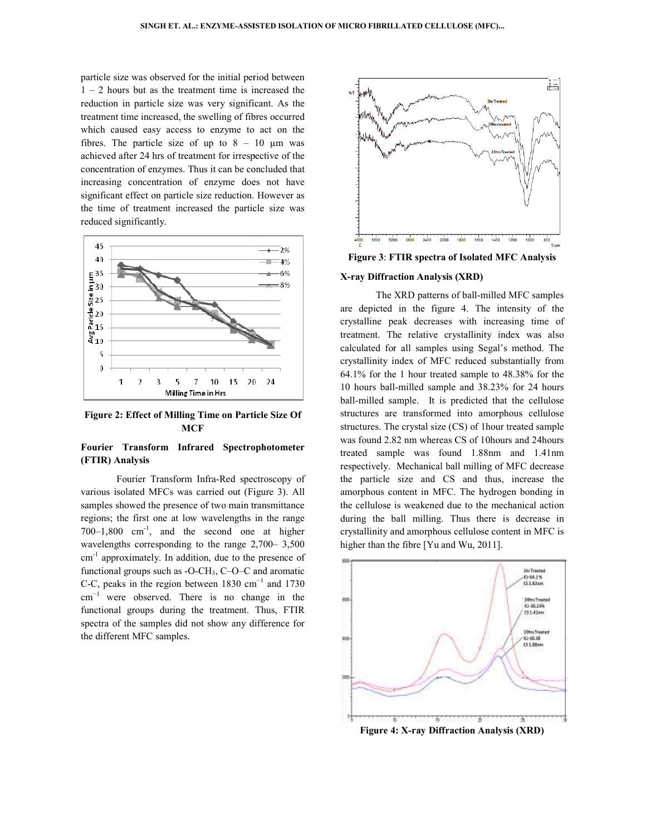particle size was observed for the initial period between particle size was observed for the initial period between  $1 - 2$  hours but as the treatment time is increased the reduction in particle size was very significant. As the treatment time increased, the swelling of fibres occurred which caused easy access to enzyme to act on the fibres. The particle size of up to  $8 - 10$  µm was achieved after 24 hrs of treatment for irrespective of the concentration of enzymes. Thus it can be concluded that increasing concentration of enzyme does not have significant effect on particle size reduction. However as the time of treatment increased the particle size was reduced significantly. ibres occurred<br>to act on the<br>10 µm was concentration of enzymes. Thus it can be concl<br>increasing concentration of enzyme does<br>significant effect on particle size reduction. Ho<br>the time of treatment increased the particle



**Figure 2: Effect of Milling Time on Particle Size Of MCF Figure 2: Effect of Milling Time on Particle Size Of**<br>MCF<br>**Fourier Transform Infrared Spectrophotometer** 

# **(FTIR) Analysis**

 Fourier Transform Infra-Red spectroscopy of various isolated MFCs was carried out (Figure 3). All samples showed the presence of two main transmittance regions; the first one at low wavelengths in the range  $700-1,800$  cm<sup>-1</sup>, and the second one at higher wavelengths corresponding to the range 2,700–3,500 cm-1 approximately. In addition, due to the presence of functional groups such as  $-O-CH_3$ ,  $C-O-C$  and aromatic functional groups such as -O-CH<sub>3</sub>, C–O–C and aromatic C-C, peaks in the region between 1830 cm<sup>-1</sup> and 1730  $cm^{-1}$  were observed. There is no change in the functional groups during the treatment. Thus, FTIR spectra of the samples did not show any difference for the different MFC samples. Fourier Transform Infra-Red spectroscopy of isolated MFCs was carried out (Figure 3). All showed the presence of two main transmittance the first one at low wavelengths in the range  $200 \text{ cm}^{-1}$ , and the second one at hi



# **X-ray Diffraction Analysis (XRD) FTIR ray Diffraction**

**Example 18:**<br> **Example 19:**<br> **Example 19:**<br> **Example 19:**<br> **Example 19:**<br> **Example 19:**<br> **Example 19:**<br> **Example 19:**<br> **Example 19:**<br> **Example 19:**<br> **Example 19:**<br> **Example 19:**<br> **Example 19:**<br> **Example 19:**<br> **Example 19**  The XRD patterns of ball-milled MFC samples are depicted in the figure 4. The intensity of the crystalline peak decreases with increasing time of treatment. The relative crystallinity index was also calculated for all samples using Segal's method. The crystallinity index of MFC reduced substantially from 64.1% for the 1 hour treated sample to 48.38% for the 10 hours ball-milled sample and 38.23% for 24 hours ball-milled sample. It is predicted that the cellulose structures are transformed into amorphous ce structures. The crystal size (CS) of 1hour treated sample was found 2.82 nm whereas CS of 10hours and 24hours treated sample was found 1.88nm and 1.41nm respectively. Mechanical ball milling of MFC decrease the particle size and CS and thus, incre amorphous content in MFC. The hydrogen bonding in the cellulose is weakened due to the mechanical action during the ball milling. Thus there is decrease in crystallinity and amorphous cellulose higher than the fibre [Yu and Wu, 2011]. The XRD patterns of ball-milled MFC samples<br>are depicted in the figure 4. The intensity of the<br>crystalline peak decreases with increasing time of<br>treatment. The relative crystallinity index was also<br>calculated for all samp was found 2.82 nm whereas CS of 10hours and 24hours<br>treated sample was found 1.88nm and 1.41nm<br>respectively. Mechanical ball milling of MFC decrease<br>the particle size and CS and thus, increase the ontent in MFC. The hydrogen bonding in<br>is weakened due to the mechanical action<br>all milling. Thus there is decrease in<br>nd amorphous cellulose content in MFC is



**Figure 4: X-ray Diffraction Analysis (XRD) ray**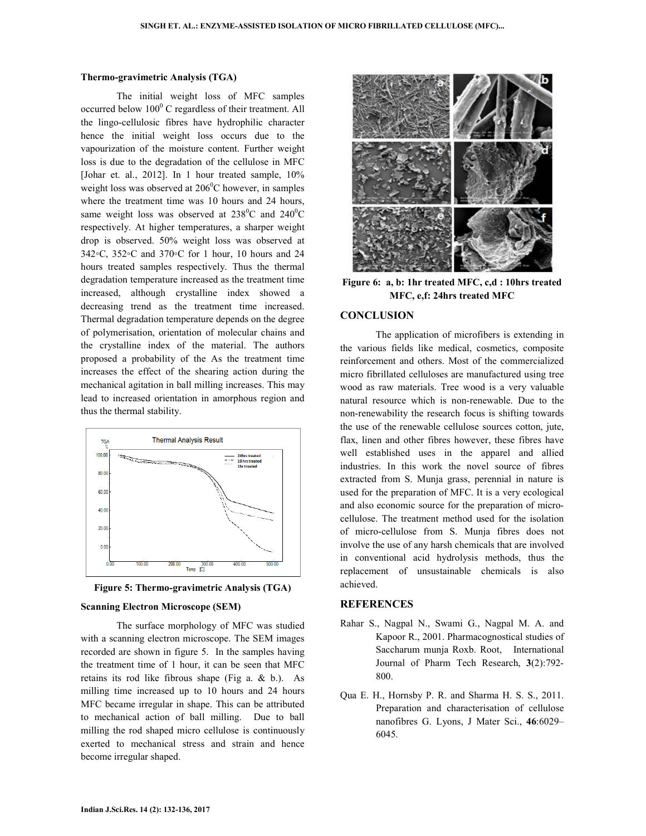#### **Thermo-gravimetric Analysis (TGA)**

 The initial weight loss of MFC samples occurred below 100<sup>0</sup> C regardless of their treatment. All the lingo-cellulosic fibres have hydrophilic character hence the initial weight loss occurs due to the vapourization of the moisture content. Further weight loss is due to the degradation of the cellulose in MFC [Johar et. al., 2012]. In 1 hour treated sample, 10% weight loss was observed at  $206^{\circ}$ C however, in samples where the treatment time was 10 hours and 24 hours, same weight loss was observed at  $238^{\circ}$ C and  $240^{\circ}$ C respectively. At higher temperatures, a sharper weight drop is observed. 50% weight loss was observed at 342◦C, 352◦C and 370◦C for 1 hour, 10 hours and 24 hours treated samples respectively. Thus the thermal degradation temperature increased as the treatment time increased, although crystalline index showed a decreasing trend as the treatment time increased. Thermal degradation temperature depends on the degree of polymerisation, orientation of molecular chains and the crystalline index of the material. The authors proposed a probability of the As the treatment time increases the effect of the shearing action during the mechanical agitation in ball milling increases. This may lead to increased orientation in amorphous region and thus the thermal stability.





#### **Scanning Electron Microscope (SEM)**

 The surface morphology of MFC was studied with a scanning electron microscope. The SEM images recorded are shown in figure 5. In the samples having the treatment time of 1 hour, it can be seen that MFC retains its rod like fibrous shape (Fig a. & b.). As milling time increased up to 10 hours and 24 hours MFC became irregular in shape. This can be attributed to mechanical action of ball milling. Due to ball milling the rod shaped micro cellulose is continuously exerted to mechanical stress and strain and hence become irregular shaped.



**Figure 6: a, b: 1hr treated MFC, c,d : 10hrs treated MFC, e,f: 24hrs treated MFC** 

# **CONCLUSION**

 The application of microfibers is extending in the various fields like medical, cosmetics, composite reinforcement and others. Most of the commercialized micro fibrillated celluloses are manufactured using tree wood as raw materials. Tree wood is a very valuable natural resource which is non-renewable. Due to the non-renewability the research focus is shifting towards the use of the renewable cellulose sources cotton, jute, flax, linen and other fibres however, these fibres have well established uses in the apparel and allied industries. In this work the novel source of fibres extracted from S. Munja grass, perennial in nature is used for the preparation of MFC. It is a very ecological and also economic source for the preparation of microcellulose. The treatment method used for the isolation of micro-cellulose from S. Munja fibres does not involve the use of any harsh chemicals that are involved in conventional acid hydrolysis methods, thus the replacement of unsustainable chemicals is also achieved.

#### **REFERENCES**

- Rahar S., Nagpal N., Swami G., Nagpal M. A. and Kapoor R., 2001. Pharmacognostical studies of Saccharum munja Roxb. Root, International Journal of Pharm Tech Research, **3**(2):792- 800.
- Qua E. H., Hornsby P. R. and Sharma H. S. S., 2011. Preparation and characterisation of cellulose nanofibres G. Lyons, J Mater Sci., **46**:6029– 6045.